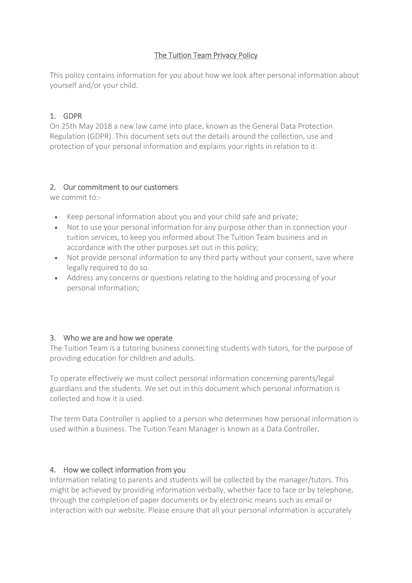# The Tuition Team Privacy Policy

This policy contains information for you about how we look after personal information about yourself and/or your child.

# 1. GDPR

On 25th May 2018 a new law came into place, known as the General Data Protection Regulation (GDPR). This document sets out the details around the collection, use and protection of your personal information and explains your rights in relation to it.

### 2. Our commitment to our customers

we commit to:-

- Keep personal information about you and your child safe and private;
- Not to use your personal information for any purpose other than in connection your tuition services, to keep you informed about The Tuition Team business and in accordance with the other purposes set out in this policy;
- Not provide personal information to any third party without your consent, save where legally required to do so.
- Address any concerns or questions relating to the holding and processing of your personal information;

# 3. Who we are and how we operate

The Tuition Team is a tutoring business connecting students with tutors, for the purpose of providing education for children and adults.

To operate effectively we must collect personal information concerning parents/legal guardians and the students. We set out in this document which personal information is collected and how it is used.

The term Data Controller is applied to a person who determines how personal information is used within a business. The Tuition Team Manager is known as a Data Controller.

# 4. How we collect information from you

Information relating to parents and students will be collected by the manager/tutors. This might be achieved by providing information verbally, whether face to face or by telephone, through the completion of paper documents or by electronic means such as email or interaction with our website. Please ensure that all your personal information is accurately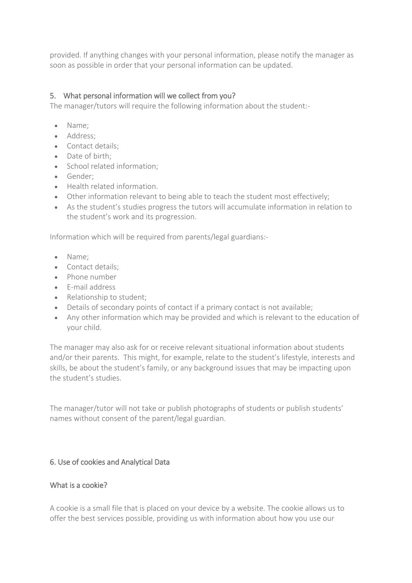provided. If anything changes with your personal information, please notify the manager as soon as possible in order that your personal information can be updated.

### 5. What personal information will we collect from you?

The manager/tutors will require the following information about the student:-

- Name:
- Address;
- Contact details;
- Date of birth:
- School related information:
- Gender:
- Health related information.
- Other information relevant to being able to teach the student most effectively;
- As the student's studies progress the tutors will accumulate information in relation to the student's work and its progression.

Information which will be required from parents/legal guardians:-

- Name:
- Contact details;
- Phone number
- E-mail address
- Relationship to student;
- Details of secondary points of contact if a primary contact is not available;
- Any other information which may be provided and which is relevant to the education of your child.

The manager may also ask for or receive relevant situational information about students and/or their parents. This might, for example, relate to the student's lifestyle, interests and skills, be about the student's family, or any background issues that may be impacting upon the student's studies.

The manager/tutor will not take or publish photographs of students or publish students' names without consent of the parent/legal guardian.

### 6. Use of cookies and Analytical Data

### What is a cookie?

A cookie is a small file that is placed on your device by a website. The cookie allows us to offer the best services possible, providing us with information about how you use our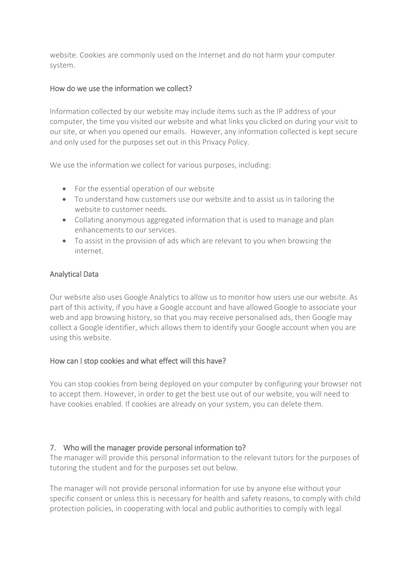website. Cookies are commonly used on the Internet and do not harm your computer system.

#### How do we use the information we collect?

Information collected by our website may include items such as the IP address of your computer, the time you visited our website and what links you clicked on during your visit to our site, or when you opened our emails. However, any information collected is kept secure and only used for the purposes set out in this Privacy Policy.

We use the information we collect for various purposes, including:

- For the essential operation of our website
- To understand how customers use our website and to assist us in tailoring the website to customer needs.
- Collating anonymous aggregated information that is used to manage and plan enhancements to our services.
- To assist in the provision of ads which are relevant to you when browsing the internet.

#### Analytical Data

Our website also uses Google Analytics to allow us to monitor how users use our website. As part of this activity, if you have a Google account and have allowed Google to associate your web and app browsing history, so that you may receive personalised ads, then Google may collect a Google identifier, which allows them to identify your Google account when you are using this website.

### How can I stop cookies and what effect will this have?

You can stop cookies from being deployed on your computer by configuring your browser not to accept them. However, in order to get the best use out of our website, you will need to have cookies enabled. If cookies are already on your system, you can delete them.

### 7. Who will the manager provide personal information to?

The manager will provide this personal information to the relevant tutors for the purposes of tutoring the student and for the purposes set out below.

The manager will not provide personal information for use by anyone else without your specific consent or unless this is necessary for health and safety reasons, to comply with child protection policies, in cooperating with local and public authorities to comply with legal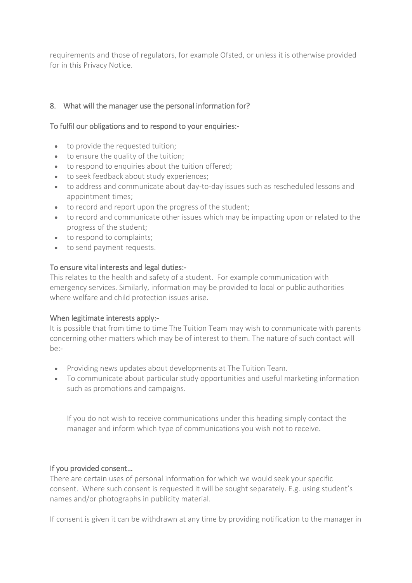requirements and those of regulators, for example Ofsted, or unless it is otherwise provided for in this Privacy Notice.

### 8. What will the manager use the personal information for?

#### To fulfil our obligations and to respond to your enquiries:-

- to provide the requested tuition;
- to ensure the quality of the tuition;
- to respond to enquiries about the tuition offered;
- to seek feedback about study experiences;
- to address and communicate about day-to-day issues such as rescheduled lessons and appointment times;
- to record and report upon the progress of the student;
- to record and communicate other issues which may be impacting upon or related to the progress of the student;
- to respond to complaints;
- to send payment requests.

#### To ensure vital interests and legal duties:-

This relates to the health and safety of a student. For example communication with emergency services. Similarly, information may be provided to local or public authorities where welfare and child protection issues arise.

#### When legitimate interests apply:-

It is possible that from time to time The Tuition Team may wish to communicate with parents concerning other matters which may be of interest to them. The nature of such contact will  $he-$ 

- Providing news updates about developments at The Tuition Team.
- To communicate about particular study opportunities and useful marketing information such as promotions and campaigns.

If you do not wish to receive communications under this heading simply contact the manager and inform which type of communications you wish not to receive.

### If you provided consent…

There are certain uses of personal information for which we would seek your specific consent. Where such consent is requested it will be sought separately. E.g. using student's names and/or photographs in publicity material.

If consent is given it can be withdrawn at any time by providing notification to the manager in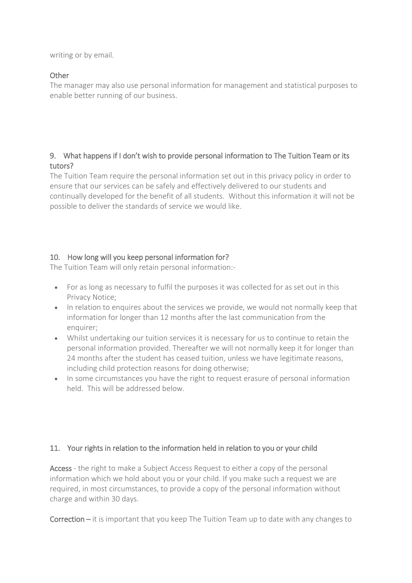writing or by email.

### **Other**

The manager may also use personal information for management and statistical purposes to enable better running of our business.

# 9. What happens if I don't wish to provide personal information to The Tuition Team or its tutors?

The Tuition Team require the personal information set out in this privacy policy in order to ensure that our services can be safely and effectively delivered to our students and continually developed for the benefit of all students. Without this information it will not be possible to deliver the standards of service we would like.

# 10. How long will you keep personal information for?

The Tuition Team will only retain personal information:-

- For as long as necessary to fulfil the purposes it was collected for as set out in this Privacy Notice;
- In relation to enquires about the services we provide, we would not normally keep that information for longer than 12 months after the last communication from the enquirer:
- Whilst undertaking our tuition services it is necessary for us to continue to retain the personal information provided. Thereafter we will not normally keep it for longer than 24 months after the student has ceased tuition, unless we have legitimate reasons, including child protection reasons for doing otherwise;
- In some circumstances you have the right to request erasure of personal information held. This will be addressed below.

# 11. Your rights in relation to the information held in relation to you or your child

Access - the right to make a Subject Access Request to either a copy of the personal information which we hold about you or your child. If you make such a request we are required, in most circumstances, to provide a copy of the personal information without charge and within 30 days.

Correction – it is important that you keep The Tuition Team up to date with any changes to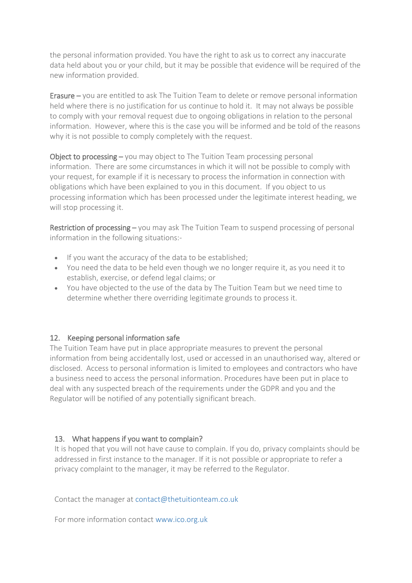the personal information provided. You have the right to ask us to correct any inaccurate data held about you or your child, but it may be possible that evidence will be required of the new information provided.

Erasure – you are entitled to ask The Tuition Team to delete or remove personal information held where there is no justification for us continue to hold it. It may not always be possible to comply with your removal request due to ongoing obligations in relation to the personal information. However, where this is the case you will be informed and be told of the reasons why it is not possible to comply completely with the request.

Object to processing – you may object to The Tuition Team processing personal information. There are some circumstances in which it will not be possible to comply with your request, for example if it is necessary to process the information in connection with obligations which have been explained to you in this document. If you object to us processing information which has been processed under the legitimate interest heading, we will stop processing it.

Restriction of processing – you may ask The Tuition Team to suspend processing of personal information in the following situations:-

- If you want the accuracy of the data to be established;
- You need the data to be held even though we no longer require it, as you need it to establish, exercise, or defend legal claims; or
- You have objected to the use of the data by The Tuition Team but we need time to determine whether there overriding legitimate grounds to process it.

# 12. Keeping personal information safe

The Tuition Team have put in place appropriate measures to prevent the personal information from being accidentally lost, used or accessed in an unauthorised way, altered or disclosed. Access to personal information is limited to employees and contractors who have a business need to access the personal information. Procedures have been put in place to deal with any suspected breach of the requirements under the GDPR and you and the Regulator will be notified of any potentially significant breach.

# 13. What happens if you want to complain?

It is hoped that you will not have cause to complain. If you do, privacy complaints should be addressed in first instance to the manager. If it is not possible or appropriate to refer a privacy complaint to the manager, it may be referred to the Regulator.

Contact the manager at contact@thetuitionteam.co.uk

For more information contact [www.ico.org.uk](https://ico.org.uk/)